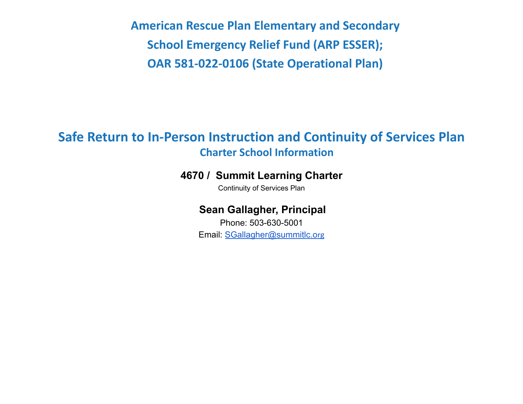**American Rescue Plan Elementary and Secondary School Emergency Relief Fund (ARP ESSER); OAR 581-022-0106 (State Operational Plan)**

# **Safe Return to In-Person Instruction and Continuity of Services Plan Charter School Information**

### **4670 / Summit Learning Charter**

Continuity of Services Plan

### **Sean Gallagher, Principal**

Phone: 503-630-5001 Email: [SGallagher@summitlc.o](mailto:SGallagher@summitlc.org)rg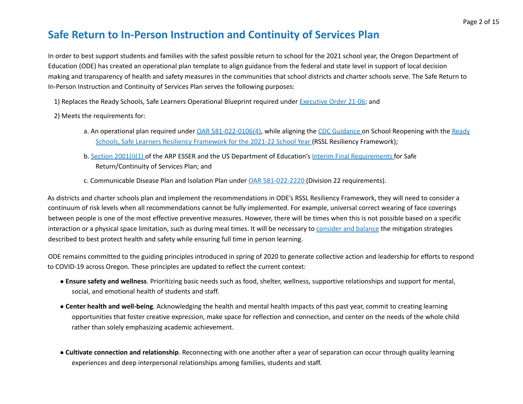## **Safe Return to In-Person Instruction and Continuity of Services Plan**

In order to best support students and families with the safest possible return to school for the 2021 school year, the Oregon Department of Education (ODE) has created an operational plan template to align guidance from the federal and state level in support of local decision making and transparency of health and safety measures in the communities that school districts and charter schools serve. The Safe Return to In-Person Instruction and Continuity of Services Plan serves the following purposes:

1) Replaces the Ready Schools, Safe Learners Operational Blueprint required under Executive Order 21-06; and

- 2) Meets the requirements for:
	- a. An operational plan required under OAR 581-022-0106(4), while aligning the CDC Guidance on School Reopening with the Ready Schools, Safe Learners Resiliency Framework for the 2021-22 School Year (RSSL Resiliency Framework);
	- b. Section 2001(i)(1) of the ARP ESSER and the US Department of Education's Interim Final Requirements for Safe Return/Continuity of Services Plan; and
	- c. Communicable Disease Plan and Isolation Plan under OAR 581-022-2220 (Division 22 requirements).

As districts and charter schools plan and implement the recommendations in ODE's RSSL Resiliency Framework, they will need to consider a continuum of risk levels when all recommendations cannot be fully implemented. For example, universal correct wearing of face coverings between people is one of the most effective preventive measures. However, there will be times when this is not possible based on a specific interaction or a physical space limitation, such as during meal times. It will be necessary to consider and balance the mitigation strategies described to best protect health and safety while ensuring full time in person learning.

ODE remains committed to the guiding principles introduced in spring of 2020 to generate collective action and leadership for efforts to respond to COVID-19 across Oregon. These principles are updated to reflect the current context:

- **Ensure safety and wellness**. Prioritizing basic needs such as food, shelter, wellness, supportive relationships and support for mental, social, and emotional health of students and staff.
- **Center health and well-being**. Acknowledging the health and mental health impacts of this past year, commit to creating learning opportunities that foster creative expression, make space for reflection and connection, and center on the needs of the whole child rather than solely emphasizing academic achievement.
- **Cultivate connection and relationship**. Reconnecting with one another after a year of separation can occur through quality learning experiences and deep interpersonal relationships among families, students and staff.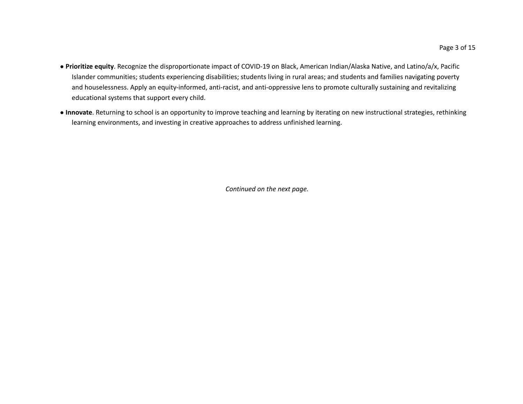- **Prioritize equity**. Recognize the disproportionate impact of COVID-19 on Black, American Indian/Alaska Native, and Latino/a/x, Pacific Islander communities; students experiencing disabilities; students living in rural areas; and students and families navigating poverty and houselessness. Apply an equity-informed, anti-racist, and anti-oppressive lens to promote culturally sustaining and revitalizing educational systems that support every child.
- **Innovate**. Returning to school is an opportunity to improve teaching and learning by iterating on new instructional strategies, rethinking learning environments, and investing in creative approaches to address unfinished learning.

*Continued on the next page.*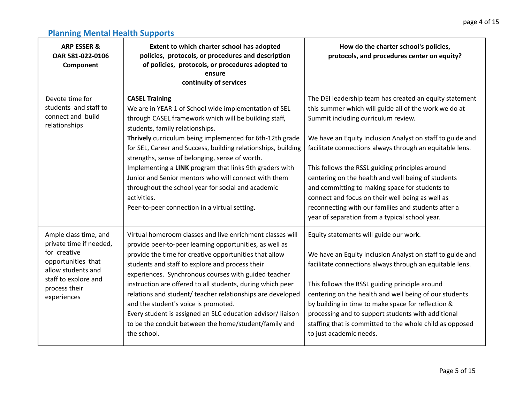| <b>ARP ESSER &amp;</b><br>OAR 581-022-0106<br>Component                                                                                                              | Extent to which charter school has adopted<br>policies, protocols, or procedures and description<br>of policies, protocols, or procedures adopted to<br>ensure<br>continuity of services                                                                                                                                                                                                                                                                                                                                                                                                            | How do the charter school's policies,<br>protocols, and procedures center on equity?                                                                                                                                                                                                                                                                                                                                                                                                                                                                                                                     |
|----------------------------------------------------------------------------------------------------------------------------------------------------------------------|-----------------------------------------------------------------------------------------------------------------------------------------------------------------------------------------------------------------------------------------------------------------------------------------------------------------------------------------------------------------------------------------------------------------------------------------------------------------------------------------------------------------------------------------------------------------------------------------------------|----------------------------------------------------------------------------------------------------------------------------------------------------------------------------------------------------------------------------------------------------------------------------------------------------------------------------------------------------------------------------------------------------------------------------------------------------------------------------------------------------------------------------------------------------------------------------------------------------------|
| Devote time for<br>students and staff to<br>connect and build<br>relationships                                                                                       | <b>CASEL Training</b><br>We are in YEAR 1 of School wide implementation of SEL<br>through CASEL framework which will be building staff,<br>students, family relationships.<br>Thrively curriculum being implemented for 6th-12th grade<br>for SEL, Career and Success, building relationships, building<br>strengths, sense of belonging, sense of worth.<br>Implementing a LINK program that links 9th graders with<br>Junior and Senior mentors who will connect with them<br>throughout the school year for social and academic<br>activities.<br>Peer-to-peer connection in a virtual setting.  | The DEI leadership team has created an equity statement<br>this summer which will guide all of the work we do at<br>Summit including curriculum review.<br>We have an Equity Inclusion Analyst on staff to guide and<br>facilitate connections always through an equitable lens.<br>This follows the RSSL guiding principles around<br>centering on the health and well being of students<br>and committing to making space for students to<br>connect and focus on their well being as well as<br>reconnecting with our families and students after a<br>year of separation from a typical school year. |
| Ample class time, and<br>private time if needed,<br>for creative<br>opportunities that<br>allow students and<br>staff to explore and<br>process their<br>experiences | Virtual homeroom classes and live enrichment classes will<br>provide peer-to-peer learning opportunities, as well as<br>provide the time for creative opportunities that allow<br>students and staff to explore and process their<br>experiences. Synchronous courses with guided teacher<br>instruction are offered to all students, during which peer<br>relations and student/ teacher relationships are developed<br>and the student's voice is promoted.<br>Every student is assigned an SLC education advisor/liaison<br>to be the conduit between the home/student/family and<br>the school. | Equity statements will guide our work.<br>We have an Equity Inclusion Analyst on staff to guide and<br>facilitate connections always through an equitable lens.<br>This follows the RSSL guiding principle around<br>centering on the health and well being of our students<br>by building in time to make space for reflection &<br>processing and to support students with additional<br>staffing that is committed to the whole child as opposed<br>to just academic needs.                                                                                                                           |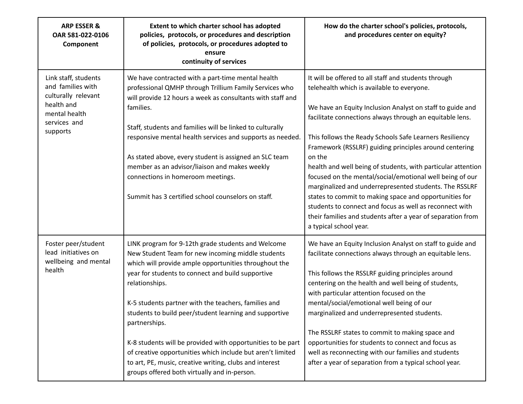| <b>ARP ESSER &amp;</b><br>OAR 581-022-0106<br>Component                                                                     | Extent to which charter school has adopted<br>policies, protocols, or procedures and description<br>of policies, protocols, or procedures adopted to<br>ensure<br>continuity of services                                                                                                                                                                                                                                                                                                                                                                                                                           | How do the charter school's policies, protocols,<br>and procedures center on equity?                                                                                                                                                                                                                                                                                                                                                                                                                                                                                                                                                                                                                                                                           |
|-----------------------------------------------------------------------------------------------------------------------------|--------------------------------------------------------------------------------------------------------------------------------------------------------------------------------------------------------------------------------------------------------------------------------------------------------------------------------------------------------------------------------------------------------------------------------------------------------------------------------------------------------------------------------------------------------------------------------------------------------------------|----------------------------------------------------------------------------------------------------------------------------------------------------------------------------------------------------------------------------------------------------------------------------------------------------------------------------------------------------------------------------------------------------------------------------------------------------------------------------------------------------------------------------------------------------------------------------------------------------------------------------------------------------------------------------------------------------------------------------------------------------------------|
| Link staff, students<br>and families with<br>culturally relevant<br>health and<br>mental health<br>services and<br>supports | We have contracted with a part-time mental health<br>professional QMHP through Trillium Family Services who<br>will provide 12 hours a week as consultants with staff and<br>families.<br>Staff, students and families will be linked to culturally<br>responsive mental health services and supports as needed.<br>As stated above, every student is assigned an SLC team<br>member as an advisor/liaison and makes weekly<br>connections in homeroom meetings.<br>Summit has 3 certified school counselors on staff.                                                                                             | It will be offered to all staff and students through<br>telehealth which is available to everyone.<br>We have an Equity Inclusion Analyst on staff to guide and<br>facilitate connections always through an equitable lens.<br>This follows the Ready Schools Safe Learners Resiliency<br>Framework (RSSLRF) guiding principles around centering<br>on the<br>health and well being of students, with particular attention<br>focused on the mental/social/emotional well being of our<br>marginalized and underrepresented students. The RSSLRF<br>states to commit to making space and opportunities for<br>students to connect and focus as well as reconnect with<br>their families and students after a year of separation from<br>a typical school year. |
| Foster peer/student<br>lead initiatives on<br>wellbeing and mental<br>health                                                | LINK program for 9-12th grade students and Welcome<br>New Student Team for new incoming middle students<br>which will provide ample opportunities throughout the<br>year for students to connect and build supportive<br>relationships.<br>K-5 students partner with the teachers, families and<br>students to build peer/student learning and supportive<br>partnerships.<br>K-8 students will be provided with opportunities to be part<br>of creative opportunities which include but aren't limited<br>to art, PE, music, creative writing, clubs and interest<br>groups offered both virtually and in-person. | We have an Equity Inclusion Analyst on staff to guide and<br>facilitate connections always through an equitable lens.<br>This follows the RSSLRF guiding principles around<br>centering on the health and well being of students,<br>with particular attention focused on the<br>mental/social/emotional well being of our<br>marginalized and underrepresented students.<br>The RSSLRF states to commit to making space and<br>opportunities for students to connect and focus as<br>well as reconnecting with our families and students<br>after a year of separation from a typical school year.                                                                                                                                                            |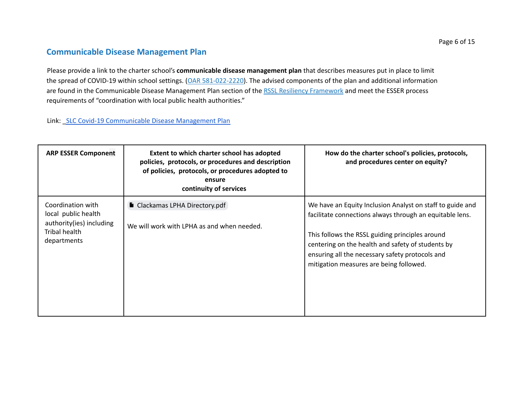#### **Communicable Disease Management Plan**

Please provide a link to the charter school's **communicable disease management plan** that describes measures put in place to limit the spread of COVID-19 within school settings. (OAR 581-022-2220). The advised components of the plan and additional information are found in the Communicable Disease Management Plan section of the RSSL Resiliency Framework and meet the ESSER process requirements of "coordination with local public health authorities."

Link: \_SLC Covid-19 [Communicable](https://drive.google.com/file/d/1DFRZ9ITNMZgy5FmzroTr7czP4bsKMygF/view?usp=sharing) Disease Management Plan

| <b>ARP ESSER Component</b>                                                                           | Extent to which charter school has adopted<br>policies, protocols, or procedures and description<br>of policies, protocols, or procedures adopted to<br>ensure<br>continuity of services | How do the charter school's policies, protocols,<br>and procedures center on equity?                                                                                                                                                                                                                                        |
|------------------------------------------------------------------------------------------------------|------------------------------------------------------------------------------------------------------------------------------------------------------------------------------------------|-----------------------------------------------------------------------------------------------------------------------------------------------------------------------------------------------------------------------------------------------------------------------------------------------------------------------------|
| Coordination with<br>local public health<br>authority(ies) including<br>Tribal health<br>departments | Clackamas LPHA Directory.pdf<br>We will work with LPHA as and when needed.                                                                                                               | We have an Equity Inclusion Analyst on staff to guide and<br>facilitate connections always through an equitable lens.<br>This follows the RSSL guiding principles around<br>centering on the health and safety of students by<br>ensuring all the necessary safety protocols and<br>mitigation measures are being followed. |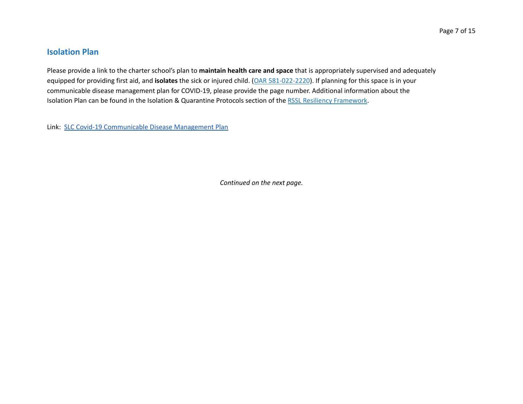#### **Isolation Plan**

Please provide a link to the charter school's plan to **maintain health care and space** that is appropriately supervised and adequately equipped for providing first aid, and **isolates** the sick or injured child. (OAR 581-022-2220). If planning for this space is in your communicable disease management plan for COVID-19, please provide the page number. Additional information about the Isolation Plan can be found in the Isolation & Quarantine Protocols section of the RSSL Resiliency Framework.

Link: SLC Covid-19 [Communicable](https://drive.google.com/file/d/1DFRZ9ITNMZgy5FmzroTr7czP4bsKMygF/view?usp=sharing) Disease Management Plan

*Continued on the next page.*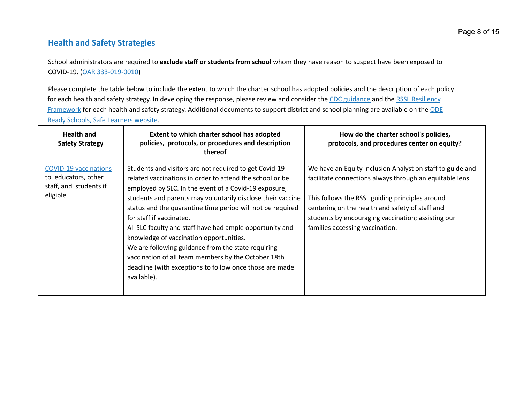#### **Health and Safety Strategies**

School administrators are required to **exclude staff or students from school** whom they have reason to suspect have been exposed to COVID-19. (OAR 333-019-0010)

Please complete the table below to include the extent to which the charter school has adopted policies and the description of each policy for each health and safety strategy. In developing the response, please review and consider the CDC guidance and the RSSL Resiliency Framework for each health and safety strategy. Additional documents to support district and school planning are available on the ODE Ready Schools, Safe Learners website.

| <b>Health and</b><br><b>Safety Strategy</b>                                               | Extent to which charter school has adopted<br>policies, protocols, or procedures and description<br>thereof                                                                                                                                                                                                                                                                                                                                                                                                                                                                                                                        | How do the charter school's policies,<br>protocols, and procedures center on equity?                                                                                                                                                                                                                                 |
|-------------------------------------------------------------------------------------------|------------------------------------------------------------------------------------------------------------------------------------------------------------------------------------------------------------------------------------------------------------------------------------------------------------------------------------------------------------------------------------------------------------------------------------------------------------------------------------------------------------------------------------------------------------------------------------------------------------------------------------|----------------------------------------------------------------------------------------------------------------------------------------------------------------------------------------------------------------------------------------------------------------------------------------------------------------------|
| <b>COVID-19 vaccinations</b><br>to educators, other<br>staff, and students if<br>eligible | Students and visitors are not required to get Covid-19<br>related vaccinations in order to attend the school or be<br>employed by SLC. In the event of a Covid-19 exposure,<br>students and parents may voluntarily disclose their vaccine<br>status and the quarantine time period will not be required<br>for staff if vaccinated.<br>All SLC faculty and staff have had ample opportunity and<br>knowledge of vaccination opportunities.<br>We are following guidance from the state requiring<br>vaccination of all team members by the October 18th<br>deadline (with exceptions to follow once those are made<br>available). | We have an Equity Inclusion Analyst on staff to guide and<br>facilitate connections always through an equitable lens.<br>This follows the RSSL guiding principles around<br>centering on the health and safety of staff and<br>students by encouraging vaccination; assisting our<br>families accessing vaccination. |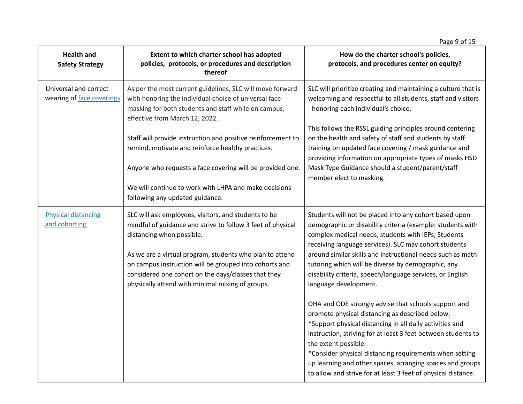|                                                    |                                                                                                                                                                                                                                                                                                                                                                                   | Page 9 of 15                                                                                                                                                                                                                                                                                                                                                                                                                                          |
|----------------------------------------------------|-----------------------------------------------------------------------------------------------------------------------------------------------------------------------------------------------------------------------------------------------------------------------------------------------------------------------------------------------------------------------------------|-------------------------------------------------------------------------------------------------------------------------------------------------------------------------------------------------------------------------------------------------------------------------------------------------------------------------------------------------------------------------------------------------------------------------------------------------------|
| <b>Health and</b><br><b>Safety Strategy</b>        | Extent to which charter school has adopted<br>policies, protocols, or procedures and description<br>thereof                                                                                                                                                                                                                                                                       | How do the charter school's policies,<br>protocols, and procedures center on equity?                                                                                                                                                                                                                                                                                                                                                                  |
| Universal and correct<br>wearing of face coverings | As per the most current guidelines, SLC will move forward<br>with honoring the individual choice of universal face<br>masking for both students and staff while on campus,<br>effective from March 12, 2022.                                                                                                                                                                      | SLC will prioritize creating and maintaining a culture that is<br>welcoming and respectful to all students, staff and visitors<br>- honoring each individual's choice.                                                                                                                                                                                                                                                                                |
|                                                    | Staff will provide instruction and positive reinforcement to<br>remind, motivate and reinforce healthy practices.<br>Anyone who requests a face covering will be provided one.<br>We will continue to work with LHPA and make decisions                                                                                                                                           | This follows the RSSL guiding principles around centering<br>on the health and safety of staff and students by staff<br>training on updated face covering / mask guidance and<br>providing information on appropriate types of masks HSD<br>Mask Type Guidance should a student/parent/staff<br>member elect to masking.                                                                                                                              |
|                                                    | following any updated guidance.                                                                                                                                                                                                                                                                                                                                                   |                                                                                                                                                                                                                                                                                                                                                                                                                                                       |
| <b>Physical distancing</b><br>and cohorting        | SLC will ask employees, visitors, and students to be<br>mindful of guidance and strive to follow 3 feet of physical<br>distancing when possible.<br>As we are a virtual program, students who plan to attend<br>on campus instruction will be grouped into cohorts and<br>considered one cohort on the days/classes that they<br>physically attend with minimal mixing of groups. | Students will not be placed into any cohort based upon<br>demographic or disability criteria (example: students with<br>complex medical needs, students with IEPs, Students<br>receiving language services). SLC may cohort students<br>around similar skills and instructional needs such as math<br>tutoring which will be diverse by demographic, any<br>disability criteria, speech/language services, or English<br>language development.        |
|                                                    |                                                                                                                                                                                                                                                                                                                                                                                   | OHA and ODE strongly advise that schools support and<br>promote physical distancing as described below:<br>*Support physical distancing in all daily activities and<br>instruction, striving for at least 3 feet between students to<br>the extent possible.<br>*Consider physical distancing requirements when setting<br>up learning and other spaces, arranging spaces and groups<br>to allow and strive for at least 3 feet of physical distance. |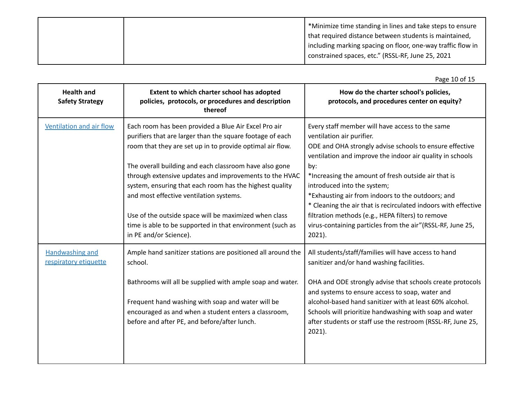|  | *Minimize time standing in lines and take steps to ensure     |
|--|---------------------------------------------------------------|
|  | that required distance between students is maintained,        |
|  | I including marking spacing on floor, one-way traffic flow in |
|  | constrained spaces, etc." (RSSL-RF, June 25, 2021             |
|  |                                                               |

|                                                 |                                                                                                                                                                                                                                                                                                                                                                                                                                                                                                                                                          | Page 10 of 15                                                                                                                                                                                                                                                                                                                                                                                                                                                                                                                                            |
|-------------------------------------------------|----------------------------------------------------------------------------------------------------------------------------------------------------------------------------------------------------------------------------------------------------------------------------------------------------------------------------------------------------------------------------------------------------------------------------------------------------------------------------------------------------------------------------------------------------------|----------------------------------------------------------------------------------------------------------------------------------------------------------------------------------------------------------------------------------------------------------------------------------------------------------------------------------------------------------------------------------------------------------------------------------------------------------------------------------------------------------------------------------------------------------|
| <b>Health and</b><br><b>Safety Strategy</b>     | Extent to which charter school has adopted<br>policies, protocols, or procedures and description<br>thereof                                                                                                                                                                                                                                                                                                                                                                                                                                              | How do the charter school's policies,<br>protocols, and procedures center on equity?                                                                                                                                                                                                                                                                                                                                                                                                                                                                     |
| Ventilation and air flow                        | Each room has been provided a Blue Air Excel Pro air<br>purifiers that are larger than the square footage of each<br>room that they are set up in to provide optimal air flow.<br>The overall building and each classroom have also gone<br>through extensive updates and improvements to the HVAC<br>system, ensuring that each room has the highest quality<br>and most effective ventilation systems.<br>Use of the outside space will be maximized when class<br>time is able to be supported in that environment (such as<br>in PE and/or Science). | Every staff member will have access to the same<br>ventilation air purifier.<br>ODE and OHA strongly advise schools to ensure effective<br>ventilation and improve the indoor air quality in schools<br>by:<br>*Increasing the amount of fresh outside air that is<br>introduced into the system;<br>*Exhausting air from indoors to the outdoors; and<br>* Cleaning the air that is recirculated indoors with effective<br>filtration methods (e.g., HEPA filters) to remove<br>virus-containing particles from the air"(RSSL-RF, June 25,<br>$2021$ ). |
| <b>Handwashing and</b><br>respiratory etiquette | Ample hand sanitizer stations are positioned all around the<br>school.<br>Bathrooms will all be supplied with ample soap and water.<br>Frequent hand washing with soap and water will be<br>encouraged as and when a student enters a classroom,<br>before and after PE, and before/after lunch.                                                                                                                                                                                                                                                         | All students/staff/families will have access to hand<br>sanitizer and/or hand washing facilities.<br>OHA and ODE strongly advise that schools create protocols<br>and systems to ensure access to soap, water and<br>alcohol-based hand sanitizer with at least 60% alcohol.<br>Schools will prioritize handwashing with soap and water<br>after students or staff use the restroom (RSSL-RF, June 25,<br>$2021$ ).                                                                                                                                      |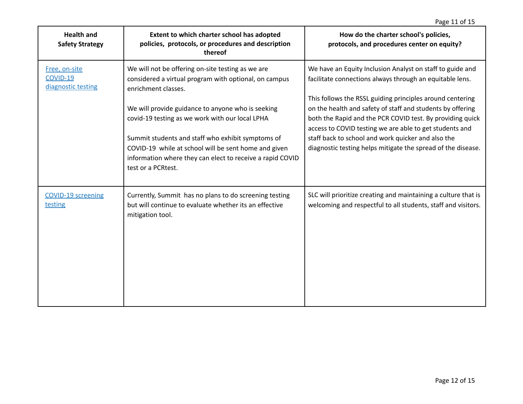| <b>Health and</b><br><b>Safety Strategy</b>            | Extent to which charter school has adopted<br>policies, protocols, or procedures and description<br>thereof                                                                                  | How do the charter school's policies,<br>protocols, and procedures center on equity?                                                                                               |
|--------------------------------------------------------|----------------------------------------------------------------------------------------------------------------------------------------------------------------------------------------------|------------------------------------------------------------------------------------------------------------------------------------------------------------------------------------|
| Free, on-site<br><b>COVID-19</b><br>diagnostic testing | We will not be offering on-site testing as we are<br>considered a virtual program with optional, on campus<br>enrichment classes.                                                            | We have an Equity Inclusion Analyst on staff to guide and<br>facilitate connections always through an equitable lens.<br>This follows the RSSL guiding principles around centering |
|                                                        | We will provide guidance to anyone who is seeking<br>covid-19 testing as we work with our local LPHA                                                                                         | on the health and safety of staff and students by offering<br>both the Rapid and the PCR COVID test. By providing quick<br>access to COVID testing we are able to get students and |
|                                                        | Summit students and staff who exhibit symptoms of<br>COVID-19 while at school will be sent home and given<br>information where they can elect to receive a rapid COVID<br>test or a PCRtest. | staff back to school and work quicker and also the<br>diagnostic testing helps mitigate the spread of the disease.                                                                 |
| <b>COVID-19 screening</b><br>testing                   | Currently, Summit has no plans to do screening testing<br>but will continue to evaluate whether its an effective<br>mitigation tool.                                                         | SLC will prioritize creating and maintaining a culture that is<br>welcoming and respectful to all students, staff and visitors.                                                    |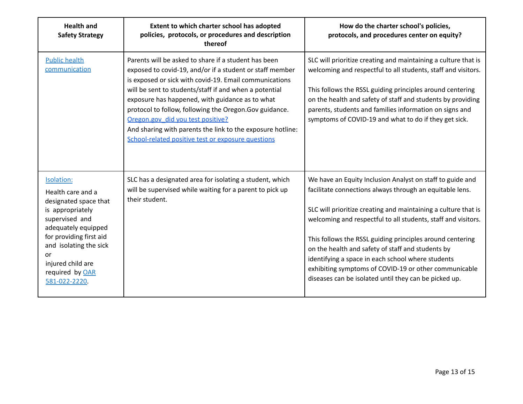| <b>Health and</b><br><b>Safety Strategy</b>                                                                                                                                                                                               | Extent to which charter school has adopted<br>policies, protocols, or procedures and description<br>thereof                                                                                                                                                                                                                                                                                                                                                                                                | How do the charter school's policies,<br>protocols, and procedures center on equity?                                                                                                                                                                                                                                                                                                                                                                                                                                                              |
|-------------------------------------------------------------------------------------------------------------------------------------------------------------------------------------------------------------------------------------------|------------------------------------------------------------------------------------------------------------------------------------------------------------------------------------------------------------------------------------------------------------------------------------------------------------------------------------------------------------------------------------------------------------------------------------------------------------------------------------------------------------|---------------------------------------------------------------------------------------------------------------------------------------------------------------------------------------------------------------------------------------------------------------------------------------------------------------------------------------------------------------------------------------------------------------------------------------------------------------------------------------------------------------------------------------------------|
| <b>Public health</b><br>communication                                                                                                                                                                                                     | Parents will be asked to share if a student has been<br>exposed to covid-19, and/or if a student or staff member<br>is exposed or sick with covid-19. Email communications<br>will be sent to students/staff if and when a potential<br>exposure has happened, with guidance as to what<br>protocol to follow, following the Oregon.Gov guidance.<br>Oregon.gov did you test positive?<br>And sharing with parents the link to the exposure hotline:<br>School-related positive test or exposure questions | SLC will prioritize creating and maintaining a culture that is<br>welcoming and respectful to all students, staff and visitors.<br>This follows the RSSL guiding principles around centering<br>on the health and safety of staff and students by providing<br>parents, students and families information on signs and<br>symptoms of COVID-19 and what to do if they get sick.                                                                                                                                                                   |
| Isolation:<br>Health care and a<br>designated space that<br>is appropriately<br>supervised and<br>adequately equipped<br>for providing first aid<br>and isolating the sick<br>or<br>injured child are<br>required by OAR<br>581-022-2220. | SLC has a designated area for isolating a student, which<br>will be supervised while waiting for a parent to pick up<br>their student.                                                                                                                                                                                                                                                                                                                                                                     | We have an Equity Inclusion Analyst on staff to guide and<br>facilitate connections always through an equitable lens.<br>SLC will prioritize creating and maintaining a culture that is<br>welcoming and respectful to all students, staff and visitors.<br>This follows the RSSL guiding principles around centering<br>on the health and safety of staff and students by<br>identifying a space in each school where students<br>exhibiting symptoms of COVID-19 or other communicable<br>diseases can be isolated until they can be picked up. |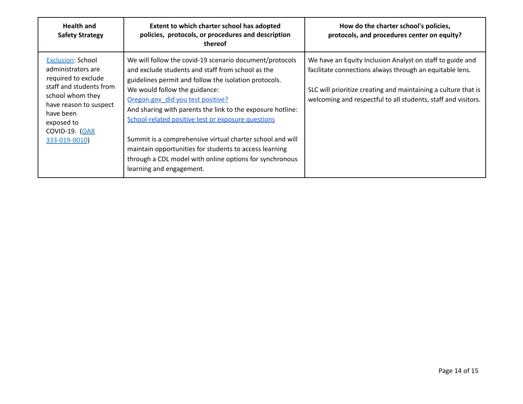| <b>Health and</b><br><b>Safety Strategy</b>                                                                                                                                                                  | Extent to which charter school has adopted<br>policies, protocols, or procedures and description<br>thereof                                                                                                                                                                                                                                                                                                                                                                                                                                                                   | How do the charter school's policies,<br>protocols, and procedures center on equity?                                                                                                                                                                     |
|--------------------------------------------------------------------------------------------------------------------------------------------------------------------------------------------------------------|-------------------------------------------------------------------------------------------------------------------------------------------------------------------------------------------------------------------------------------------------------------------------------------------------------------------------------------------------------------------------------------------------------------------------------------------------------------------------------------------------------------------------------------------------------------------------------|----------------------------------------------------------------------------------------------------------------------------------------------------------------------------------------------------------------------------------------------------------|
| <b>Exclusion: School</b><br>administrators are<br>required to exclude<br>staff and students from<br>school whom they<br>have reason to suspect<br>have been<br>exposed to<br>COVID-19. (OAR<br>333-019-0010) | We will follow the covid-19 scenario document/protocols<br>and exclude students and staff from school as the<br>guidelines permit and follow the isolation protocols.<br>We would follow the guidance:<br>Oregon.gov did you test positive?<br>And sharing with parents the link to the exposure hotline:<br>School-related positive test or exposure questions<br>Summit is a comprehensive virtual charter school and will<br>maintain opportunities for students to access learning<br>through a CDL model with online options for synchronous<br>learning and engagement. | We have an Equity Inclusion Analyst on staff to guide and<br>facilitate connections always through an equitable lens.<br>SLC will prioritize creating and maintaining a culture that is<br>welcoming and respectful to all students, staff and visitors. |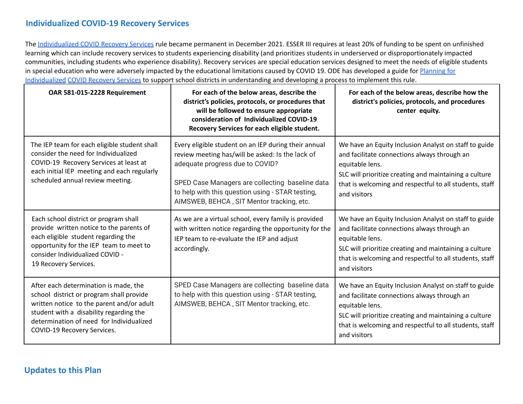#### **Individualized COVID-19 Recovery Services**

The Individualized COVID Recovery Services rule became permanent in December 2021. ESSER III requires at least 20% of funding to be spent on unfinished learning which can include recovery services to students experiencing disability (and prioritizes students in underserved or disproportionately impacted communities, including students who experience disability). Recovery services are special education services designed to meet the needs of eligible students in special education who were adversely impacted by the educational limitations caused by COVID 19. ODE has developed a guide for Planning for Individualized COVID Recovery Services to support school districts in understanding and developing a process to implement this rule.

| OAR 581-015-2228 Requirement                                                                                                                                                                                                                         | For each of the below areas, describe the<br>district's policies, protocols, or procedures that<br>will be followed to ensure appropriate<br>consideration of Individualized COVID-19<br>Recovery Services for each eligible student.                                                           | For each of the below areas, describe how the<br>district's policies, protocols, and procedures<br>center equity.                                                                                                                                             |
|------------------------------------------------------------------------------------------------------------------------------------------------------------------------------------------------------------------------------------------------------|-------------------------------------------------------------------------------------------------------------------------------------------------------------------------------------------------------------------------------------------------------------------------------------------------|---------------------------------------------------------------------------------------------------------------------------------------------------------------------------------------------------------------------------------------------------------------|
| The IEP team for each eligible student shall<br>consider the need for Individualized<br>COVID-19 Recovery Services at least at<br>each initial IEP meeting and each regularly<br>scheduled annual review meeting.                                    | Every eligible student on an IEP during their annual<br>review meeting has/will be asked: Is the lack of<br>adequate progress due to COVID?<br>SPED Case Managers are collecting baseline data<br>to help with this question using - STAR testing,<br>AIMSWEB, BEHCA, SIT Mentor tracking, etc. | We have an Equity Inclusion Analyst on staff to guide<br>and facilitate connections always through an<br>equitable lens.<br>SLC will prioritize creating and maintaining a culture<br>that is welcoming and respectful to all students, staff<br>and visitors |
| Each school district or program shall<br>provide written notice to the parents of<br>each eligible student regarding the<br>opportunity for the IEP team to meet to<br>consider Individualized COVID -<br>19 Recovery Services.                      | As we are a virtual school, every family is provided<br>with written notice regarding the opportunity for the<br>IEP team to re-evaluate the IEP and adjust<br>accordingly.                                                                                                                     | We have an Equity Inclusion Analyst on staff to guide<br>and facilitate connections always through an<br>equitable lens.<br>SLC will prioritize creating and maintaining a culture<br>that is welcoming and respectful to all students, staff<br>and visitors |
| After each determination is made, the<br>school district or program shall provide<br>written notice to the parent and/or adult<br>student with a disability regarding the<br>determination of need for Individualized<br>COVID-19 Recovery Services. | SPED Case Managers are collecting baseline data<br>to help with this question using - STAR testing,<br>AIMSWEB, BEHCA, SIT Mentor tracking, etc.                                                                                                                                                | We have an Equity Inclusion Analyst on staff to guide<br>and facilitate connections always through an<br>equitable lens.<br>SLC will prioritize creating and maintaining a culture<br>that is welcoming and respectful to all students, staff<br>and visitors |